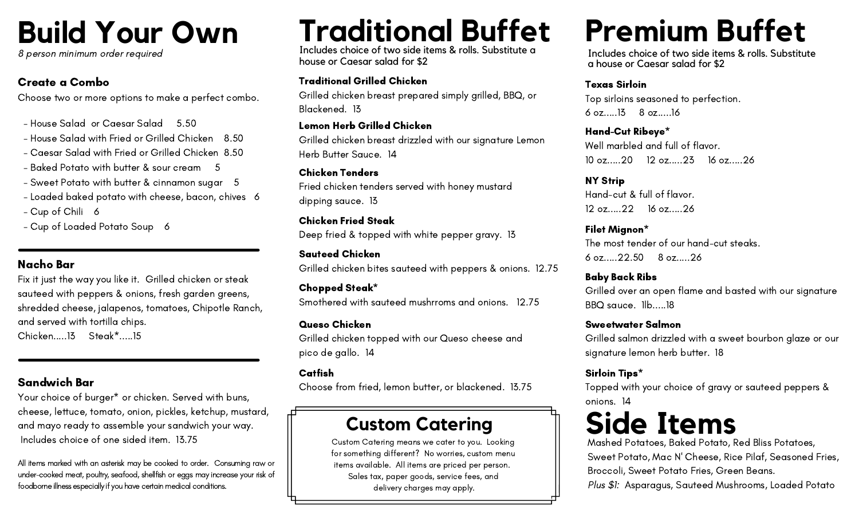## **Build Your Own**

8 person minimum order required

### Create a Combo

Choose two or more options to make a perfect combo.

- House Salad or Caesar Salad 5.50
- House Salad with Fried or Grilled Chicken 8.50
- Caesar Salad with Fried or Grilled Chicken 8.50
- Baked Potato with butter & sour cream 5
- Sweet Potato with butter & cinnamon sugar 5
- Loaded baked potato with cheese, bacon, chives 6
- Cup of Chili 6
- Cup of Loaded Potato Soup 6

### Nacho Bar

Fix it just the way you like it. Grilled chicken or steak sauteed with peppers & onions, fresh garden greens, shredded cheese, jalapenos, tomatoes, Chipotle Ranch, and served with tortilla chips.

Chicken.....13 Steak\*.....15

### Sandwich Bar

Your choice of burger\* or chicken. Served with buns, cheese, lettuce, tomato, onion, pickles, ketchup, mustard, and mayo ready to assemble your sandwich your way. Includes choice of one sided item. 13.75

All items marked with an asterisk may be cooked to order. Consuming raw or under-cooked meat, poultry, seafood, shellfish or eggs may increase your risk of foodborne illness especially if you have certain medical conditions.

# **Traditional Buffet**

Includes choice of two side items & rolls. Substitute a house or Caesar salad for \$2

### Traditional Grilled Chicken

Grilled chicken breast prepared simply grilled, BBQ, or Blackened. 13

### Lemon Herb Grilled Chicken

Grilled chicken breast drizzled with our signature Lemon Herb Butter Sauce. 14

### Chicken Tenders

Fried chicken tenders served with honey mustard dipping sauce. 13

#### Chicken Fried Steak Deep fried & topped with white pepper gravy. 13

Sauteed Chicken Grilled chicken bites sauteed with peppers & onions. 12.75

### Chopped Steak\*

Smothered with sauteed mushrroms and onions. 12.75

### Queso Chicken

Grilled chicken topped with our Queso cheese and pico de gallo. 14

### Catfish

Choose from fried, lemon butter, or blackened. 13.75

### **Custom Catering**

Custom Catering means we cater to you. Looking for something different? No worries, custom menu items available. All items are priced per person. Sales tax, paper goods, service fees, and delivery charges may apply.

## **Premium Buffet**

Includes choice of two side items & rolls. Substitute a house or Caesar salad for \$2

#### Texas Sirloin

Top sirloins seasoned to perfection. 6 oz.....13 8 oz.....16

### Hand-Cut Ribeye\* Well marbled and full of flavor. 10 oz.....20 12 oz.....23 16 oz.....26

NY Strip Hand-cut & full of flavor. 12 oz.....22 16 oz.....26

### Filet Mignon\* The most tender of our hand-cut steaks. 6 oz.....22.50 8 oz.....26

Baby Back Ribs Grilled over an open flame and basted with our signature BBQ sauce. 1lb.....18

### Sweetwater Salmon

Grilled salmon drizzled with a sweet bourbon glaze or our signature lemon herb butter. 18

### Sirloin Tips\*

Topped with your choice of gravy or sauteed peppers & onions. 14

### **Side Items**

Mashed Potatoes, Baked Potato, Red Bliss Potatoes, Sweet Potato, Mac N' Cheese, Rice Pilaf, Seasoned Fries, Broccoli, Sweet Potato Fries, Green Beans. Plus \$1: Asparagus, Sauteed Mushrooms, Loaded Potato